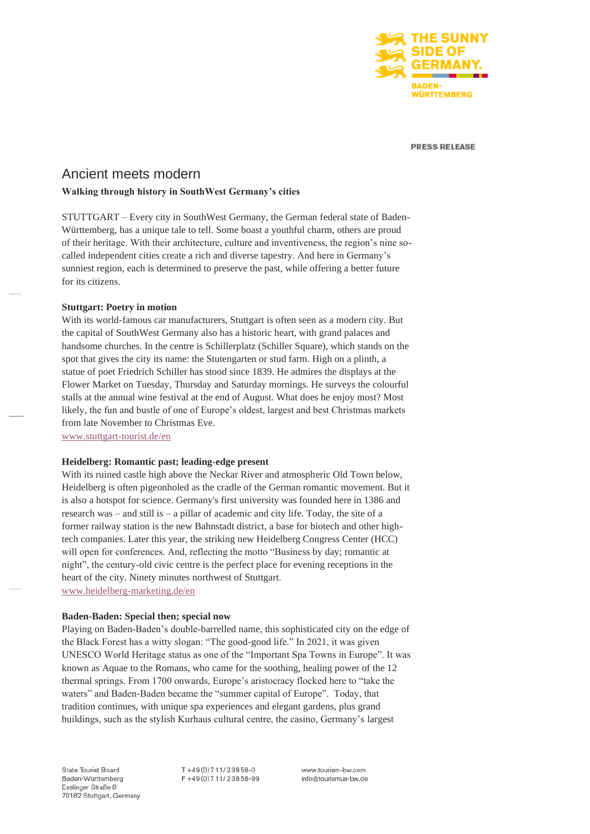

**PRESS RELEASE** 

# Ancient meets modern

## **Walking through history in SouthWest Germany's cities**

STUTTGART – Every city in SouthWest Germany, the German federal state of Baden-Württemberg, has a unique tale to tell. Some boast a youthful charm, others are proud of their heritage. With their architecture, culture and inventiveness, the region's nine socalled independent cities create a rich and diverse tapestry. And here in Germany's sunniest region, each is determined to preserve the past, while offering a better future for its citizens.

#### **Stuttgart: Poetry in motion**

With its world-famous car manufacturers, Stuttgart is often seen as a modern city. But the capital of SouthWest Germany also has a historic heart, with grand palaces and handsome churches. In the centre is Schillerplatz (Schiller Square), which stands on the spot that gives the city its name: the Stutengarten or stud farm. High on a plinth, a statue of poet Friedrich Schiller has stood since 1839. He admires the displays at the Flower Market on Tuesday, Thursday and Saturday mornings. He surveys the colourful stalls at the annual wine festival at the end of August. What does he enjoy most? Most likely, the fun and bustle of one of Europe's oldest, largest and best Christmas markets from late November to Christmas Eve.

[www.stuttgart-tourist.de/en](http://www.stuttgart-tourist.de/en)

# **Heidelberg: Romantic past; leading-edge present**

With its ruined castle high above the Neckar River and atmospheric Old Town below, Heidelberg is often pigeonholed as the cradle of the German romantic movement. But it is also a hotspot for science. Germany's first university was founded here in 1386 and research was – and still is – a pillar of academic and city life. Today, the site of a former railway station is the new Bahnstadt district, a base for biotech and other hightech companies. Later this year, the striking new Heidelberg Congress Center (HCC) will open for conferences. And, reflecting the motto "Business by day; romantic at night", the century-old civic centre is the perfect place for evening receptions in the heart of the city. Ninety minutes northwest of Stuttgart. [www.heidelberg-marketing.de/en](http://www.heidelberg-marketing.de/en)

#### **Baden-Baden: Special then; special now**

Playing on Baden-Baden's double-barrelled name, this sophisticated city on the edge of the Black Forest has a witty slogan: "The good-good life." In 2021, it was given UNESCO World Heritage status as one of the "Important Spa Towns in Europe". It was known as Aquae to the Romans, who came for the soothing, healing power of the 12 thermal springs. From 1700 onwards, Europe's aristocracy flocked here to "take the waters" and Baden-Baden became the "summer capital of Europe". Today, that tradition continues, with unique spa experiences and elegant gardens, plus grand buildings, such as the stylish Kurhaus cultural centre, the casino, Germany's largest

State Tourist Board Baden-Württemberg Esslinger Straße 8 70182 Stuttgart, Germany T+49(0)711/23858-0 F+49(0)711/23858-99 www.tourism-bw.com info@tourismus-bw.de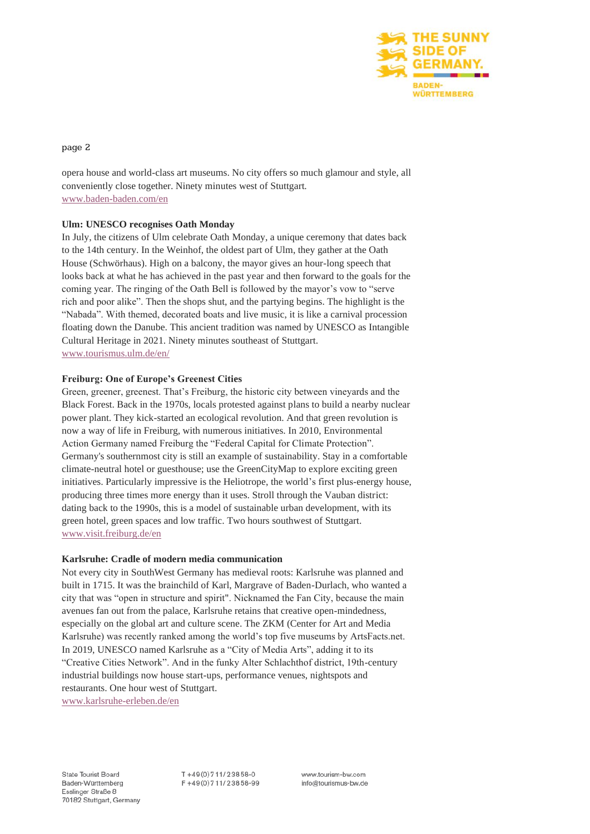

page 2

opera house and world-class art museums. No city offers so much glamour and style, all conveniently close together. Ninety minutes west of Stuttgart. [www.baden-baden.com/en](http://www.baden-baden.com/en)

# **Ulm: UNESCO recognises Oath Monday**

In July, the citizens of Ulm celebrate Oath Monday, a unique ceremony that dates back to the 14th century. In the Weinhof, the oldest part of Ulm, they gather at the Oath House (Schwörhaus). High on a balcony, the mayor gives an hour-long speech that looks back at what he has achieved in the past year and then forward to the goals for the coming year. The ringing of the Oath Bell is followed by the mayor's vow to "serve rich and poor alike". Then the shops shut, and the partying begins. The highlight is the "Nabada". With themed, decorated boats and live music, it is like a carnival procession floating down the Danube. This ancient tradition was named by UNESCO as Intangible Cultural Heritage in 2021. Ninety minutes southeast of Stuttgart. [www.tourismus.ulm.de/en/](http://www.tourismus.ulm.de/en/)

# **Freiburg: One of Europe's Greenest Cities**

Green, greener, greenest. That's Freiburg, the historic city between vineyards and the Black Forest. Back in the 1970s, locals protested against plans to build a nearby nuclear power plant. They kick-started an ecological revolution. And that green revolution is now a way of life in Freiburg, with numerous initiatives. In 2010, Environmental Action Germany named Freiburg the "Federal Capital for Climate Protection". Germany's southernmost city is still an example of sustainability. Stay in a comfortable climate-neutral hotel or guesthouse; use the GreenCityMap to explore exciting green initiatives. Particularly impressive is the Heliotrope, the world's first plus-energy house, producing three times more energy than it uses. Stroll through the Vauban district: dating back to the 1990s, this is a model of sustainable urban development, with its green hotel, green spaces and low traffic. Two hours southwest of Stuttgart. [www.visit.freiburg.de/en](http://www.visit.freiburg.de/en)

# **Karlsruhe: Cradle of modern media communication**

Not every city in SouthWest Germany has medieval roots: Karlsruhe was planned and built in 1715. It was the brainchild of Karl, Margrave of Baden-Durlach, who wanted a city that was "open in structure and spirit". Nicknamed the Fan City, because the main avenues fan out from the palace, Karlsruhe retains that creative open-mindedness, especially on the global art and culture scene. The ZKM (Center for Art and Media Karlsruhe) was recently ranked among the world's top five museums by ArtsFacts.net. In 2019, UNESCO named Karlsruhe as a "City of Media Arts", adding it to its "Creative Cities Network". And in the funky Alter Schlachthof district, 19th-century industrial buildings now house start-ups, performance venues, nightspots and restaurants. One hour west of Stuttgart.

[www.karlsruhe-erleben.de/en](http://www.karlsruhe-erleben.de/en)

 $T + 49(0)711/23858-0$ F+49(0)711/23858-99 www.tourism-bw.com info@tourismus-bw.de